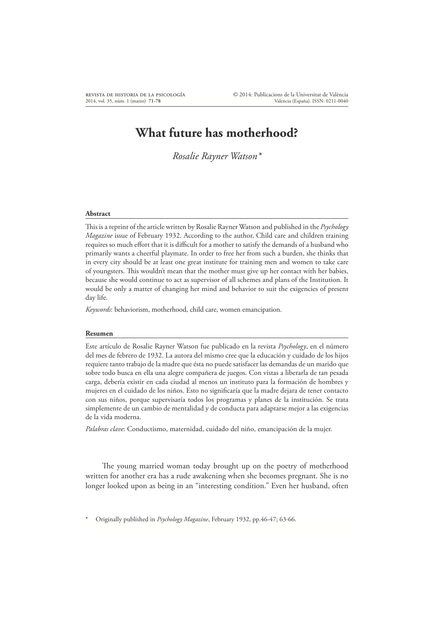## **What future has motherhood?**

*Rosalie Rayner Watson\**

## **Abstract**

This is a reprint of the article written by Rosalie Rayner Watson and published in the *Psychology Magazine* issue of February 1932. According to the author, Child care and children training requires so much effort that it is difficult for a mother to satisfy the demands of a husband who primarily wants a cheerful playmate. In order to free her from such a burden, she thinks that in every city should be at least one great institute for training men and women to take care of youngsters. This wouldn't mean that the mother must give up her contact with her babies, because she would continue to act as supervisor of all schemes and plans of the Institution. It would be only a matter of changing her mind and behavior to suit the exigencies of present day life.

*Keywords*: behaviorism, motherhood, child care, women emancipation.

## **Resumen**

Este artículo de Rosalie Rayner Watson fue publicado en la revista *Psychology*, en el número del mes de febrero de 1932. La autora del mismo cree que la educación y cuidado de los hijos requiere tanto trabajo de la madre que ésta no puede satisfacer las demandas de un marido que sobre todo busca en ella una alegre compañera de juegos. Con vistas a liberarla de tan pesada carga, debería existir en cada ciudad al menos un instituto para la formación de hombres y mujeres en el cuidado de los niños. Esto no significaría que la madre dejara de tener contacto con sus niños, porque supervisaría todos los programas y planes de la institución. Se trata simplemente de un cambio de mentalidad y de conducta para adaptarse mejor a las exigencias de la vida moderna.

*Palabras clave*: Conductismo, maternidad, cuidado del niño, emancipación de la mujer.

The young married woman today brought up on the poetry of motherhood written for another era has a rude awakening when she becomes pregnant. She is no longer looked upon as being in an "interesting condition." Even her husband, often

Originally published in *Psychology Magazine*, February 1932, pp.46-47; 63-66.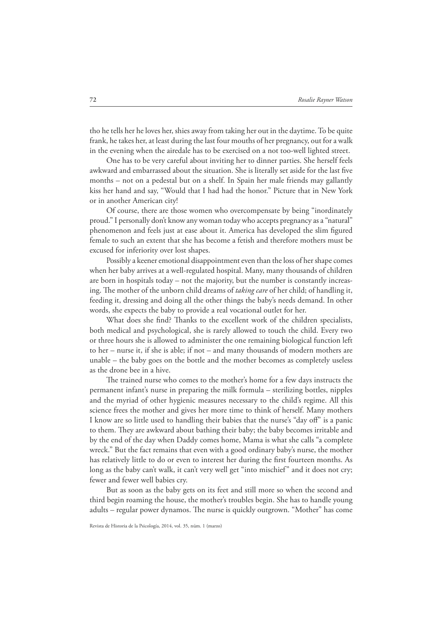tho he tells her he loves her, shies away from taking her out in the daytime. To be quite frank, he takes her, at least during the last four mouths of her pregnancy, out for a walk in the evening when the airedale has to be exercised on a not too-well lighted street.

One has to be very careful about inviting her to dinner parties. She herself feels awkward and embarrassed about the situation. She is literally set aside for the last five months – not on a pedestal but on a shelf. In Spain her male friends may gallantly kiss her hand and say, "Would that I had had the honor." Picture that in New York or in another American city!

Of course, there are those women who overcompensate by being "inordinately proud." I personally don't know any woman today who accepts pregnancy as a "natural" phenomenon and feels just at ease about it. America has developed the slim figured female to such an extent that she has become a fetish and therefore mothers must be excused for inferiority over lost shapes.

Possibly a keener emotional disappointment even than the loss of her shape comes when her baby arrives at a well-regulated hospital. Many, many thousands of children are born in hospitals today – not the majority, but the number is constantly increasing. The mother of the unborn child dreams of *taking care* of her child; of handling it, feeding it, dressing and doing all the other things the baby's needs demand. In other words, she expects the baby to provide a real vocational outlet for her.

What does she find? Thanks to the excellent work of the children specialists, both medical and psychological, she is rarely allowed to touch the child. Every two or three hours she is allowed to administer the one remaining biological function left to her – nurse it, if she is able; if not – and many thousands of modern mothers are unable – the baby goes on the bottle and the mother becomes as completely useless as the drone bee in a hive.

The trained nurse who comes to the mother's home for a few days instructs the permanent infant's nurse in preparing the milk formula – sterilizing bottles, nipples and the myriad of other hygienic measures necessary to the child's regime. All this science frees the mother and gives her more time to think of herself. Many mothers I know are so little used to handling their babies that the nurse's "day off" is a panic to them. They are awkward about bathing their baby; the baby becomes irritable and by the end of the day when Daddy comes home, Mama is what she calls "a complete wreck." But the fact remains that even with a good ordinary baby's nurse, the mother has relatively little to do or even to interest her during the first fourteen months. As long as the baby can't walk, it can't very well get "into mischief" and it does not cry; fewer and fewer well babies cry.

But as soon as the baby gets on its feet and still more so when the second and third begin roaming the house, the mother's troubles begin. She has to handle young adults – regular power dynamos. The nurse is quickly outgrown. "Mother" has come

Revista de Historia de la Psicología, 2014, vol. 35, núm. 1 (marzo)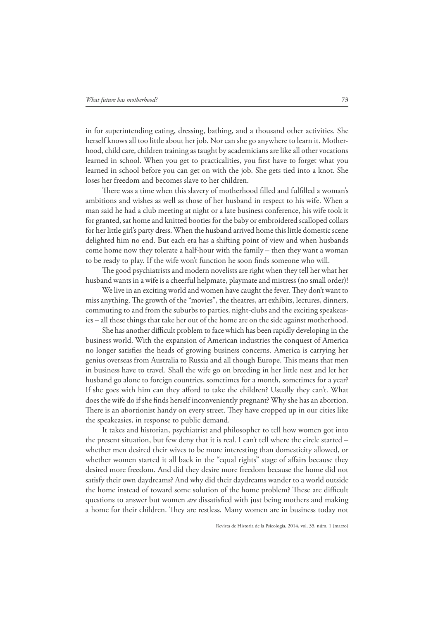in for superintending eating, dressing, bathing, and a thousand other activities. She herself knows all too little about her job. Nor can she go anywhere to learn it. Motherhood, child care, children training as taught by academicians are like all other vocations learned in school. When you get to practicalities, you first have to forget what you learned in school before you can get on with the job. She gets tied into a knot. She loses her freedom and becomes slave to her children.

There was a time when this slavery of motherhood filled and fulfilled a woman's ambitions and wishes as well as those of her husband in respect to his wife. When a man said he had a club meeting at night or a late business conference, his wife took it for granted, sat home and knitted booties for the baby or embroidered scalloped collars for her little girl's party dress. When the husband arrived home this little domestic scene delighted him no end. But each era has a shifting point of view and when husbands come home now they tolerate a half-hour with the family – then they want a woman to be ready to play. If the wife won't function he soon finds someone who will.

The good psychiatrists and modern novelists are right when they tell her what her husband wants in a wife is a cheerful helpmate, playmate and mistress (no small order)!

We live in an exciting world and women have caught the fever. They don't want to miss anything. The growth of the "movies", the theatres, art exhibits, lectures, dinners, commuting to and from the suburbs to parties, night-clubs and the exciting speakeasies – all these things that take her out of the home are on the side against motherhood.

She has another difficult problem to face which has been rapidly developing in the business world. With the expansion of American industries the conquest of America no longer satisfies the heads of growing business concerns. America is carrying her genius overseas from Australia to Russia and all though Europe. This means that men in business have to travel. Shall the wife go on breeding in her little nest and let her husband go alone to foreign countries, sometimes for a month, sometimes for a year? If she goes with him can they afford to take the children? Usually they can't. What does the wife do if she finds herself inconveniently pregnant? Why she has an abortion. There is an abortionist handy on every street. They have cropped up in our cities like the speakeasies, in response to public demand.

It takes and historian, psychiatrist and philosopher to tell how women got into the present situation, but few deny that it is real. I can't tell where the circle started – whether men desired their wives to be more interesting than domesticity allowed, or whether women started it all back in the "equal rights" stage of affairs because they desired more freedom. And did they desire more freedom because the home did not satisfy their own daydreams? And why did their daydreams wander to a world outside the home instead of toward some solution of the home problem? These are difficult questions to answer but women *are* dissatisfied with just being mothers and making a home for their children. They are restless. Many women are in business today not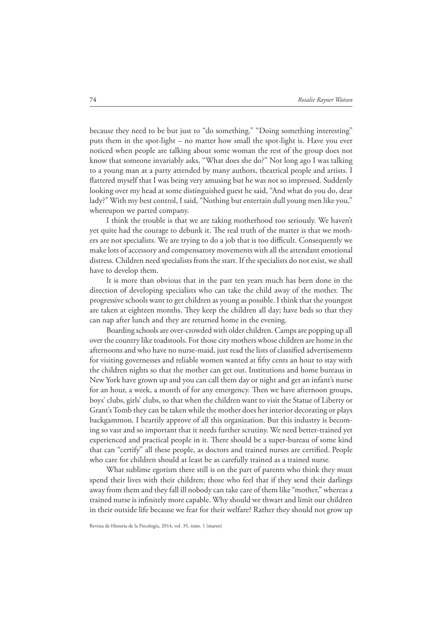because they need to be but just to "do something." "Doing something interesting" puts them in the spot-light – no matter how small the spot-light is. Have you ever noticed when people are talking about some woman the rest of the group does not know that someone invariably asks, "What does she do?" Not long ago I was talking to a young man at a party attended by many authors, theatrical people and artists. I flattered myself that I was being very amusing but he was not so impressed. Suddenly looking over my head at some distinguished guest he said, "And what do you do, dear lady?" With my best control, I said, "Nothing but entertain dull young men like you," whereupon we parted company.

I think the trouble is that we are taking motherhood too seriously. We haven't yet quite had the courage to debunk it. The real truth of the matter is that we mothers are not specialists. We are trying to do a job that is too difficult. Consequently we make lots of accessory and compensatory movements with all the attendant emotional distress. Children need specialists from the start. If the specialists do not exist, we shall have to develop them.

It is more than obvious that in the past ten years much has been done in the direction of developing specialists who can take the child away of the mother. The progressive schools want to get children as young as possible. I think that the youngest are taken at eighteen months. They keep the children all day; have beds so that they can nap after lunch and they are returned home in the evening.

Boarding schools are over-crowded with older children. Camps are popping up all over the country like toadstools. For those city mothers whose children are home in the afternoons and who have no nurse-maid, just read the lists of classified advertisements for visiting governesses and reliable women wanted at fifty cents an hour to stay with the children nights so that the mother can get out. Institutions and home bureaus in New York have grown up and you can call them day or night and get an infant's nurse for an hour, a week, a month of for any emergency. Then we have afternoon groups, boys' clubs, girls' clubs, so that when the children want to visit the Statue of Liberty or Grant's Tomb they can be taken while the mother does her interior decorating or plays backgammon. I heartily approve of all this organization. But this industry is becoming so vast and so important that it needs further scrutiny. We need better-trained yet experienced and practical people in it. There should be a super-bureau of some kind that can "certify" all these people, as doctors and trained nurses are certified. People who care for children should at least be as carefully trained as a trained nurse.

What sublime egotism there still is on the part of parents who think they must spend their lives with their children; those who feel that if they send their darlings away from them and they fall ill nobody can take care of them like "mother," whereas a trained nurse is infinitely more capable. Why should we thwart and limit our children in their outside life because we fear for their welfare? Rather they should not grow up

Revista de Historia de la Psicología, 2014, vol. 35, núm. 1 (marzo)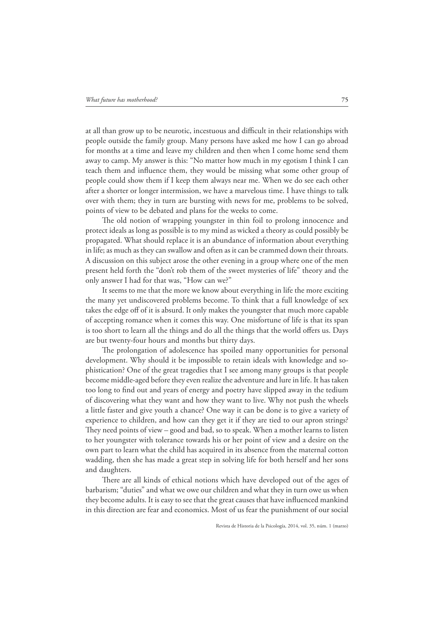at all than grow up to be neurotic, incestuous and difficult in their relationships with people outside the family group. Many persons have asked me how I can go abroad for months at a time and leave my children and then when I come home send them away to camp. My answer is this: "No matter how much in my egotism I think I can teach them and influence them, they would be missing what some other group of people could show them if I keep them always near me. When we do see each other after a shorter or longer intermission, we have a marvelous time. I have things to talk over with them; they in turn are bursting with news for me, problems to be solved, points of view to be debated and plans for the weeks to come.

The old notion of wrapping youngster in thin foil to prolong innocence and protect ideals as long as possible is to my mind as wicked a theory as could possibly be propagated. What should replace it is an abundance of information about everything in life; as much as they can swallow and often as it can be crammed down their throats. A discussion on this subject arose the other evening in a group where one of the men present held forth the "don't rob them of the sweet mysteries of life" theory and the only answer I had for that was, "How can we?"

It seems to me that the more we know about everything in life the more exciting the many yet undiscovered problems become. To think that a full knowledge of sex takes the edge off of it is absurd. It only makes the youngster that much more capable of accepting romance when it comes this way. One misfortune of life is that its span is too short to learn all the things and do all the things that the world offers us. Days are but twenty-four hours and months but thirty days.

The prolongation of adolescence has spoiled many opportunities for personal development. Why should it be impossible to retain ideals with knowledge and sophistication? One of the great tragedies that I see among many groups is that people become middle-aged before they even realize the adventure and lure in life. It has taken too long to find out and years of energy and poetry have slipped away in the tedium of discovering what they want and how they want to live. Why not push the wheels a little faster and give youth a chance? One way it can be done is to give a variety of experience to children, and how can they get it if they are tied to our apron strings? They need points of view – good and bad, so to speak. When a mother learns to listen to her youngster with tolerance towards his or her point of view and a desire on the own part to learn what the child has acquired in its absence from the maternal cotton wadding, then she has made a great step in solving life for both herself and her sons and daughters.

There are all kinds of ethical notions which have developed out of the ages of barbarism; "duties" and what we owe our children and what they in turn owe us when they become adults. It is easy to see that the great causes that have influenced mankind in this direction are fear and economics. Most of us fear the punishment of our social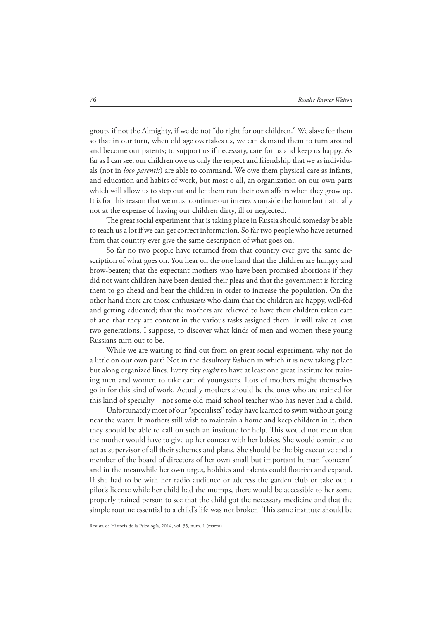group, if not the Almighty, if we do not "do right for our children." We slave for them so that in our turn, when old age overtakes us, we can demand them to turn around and become our parents; to support us if necessary, care for us and keep us happy. As far as I can see, our children owe us only the respect and friendship that we as individuals (not in *loco parentis*) are able to command. We owe them physical care as infants, and education and habits of work, but most o all, an organization on our own parts which will allow us to step out and let them run their own affairs when they grow up. It is for this reason that we must continue our interests outside the home but naturally not at the expense of having our children dirty, ill or neglected.

The great social experiment that is taking place in Russia should someday be able to teach us a lot if we can get correct information. So far two people who have returned from that country ever give the same description of what goes on.

So far no two people have returned from that country ever give the same description of what goes on. You hear on the one hand that the children are hungry and brow-beaten; that the expectant mothers who have been promised abortions if they did not want children have been denied their pleas and that the government is forcing them to go ahead and bear the children in order to increase the population. On the other hand there are those enthusiasts who claim that the children are happy, well-fed and getting educated; that the mothers are relieved to have their children taken care of and that they are content in the various tasks assigned them. It will take at least two generations, I suppose, to discover what kinds of men and women these young Russians turn out to be.

While we are waiting to find out from on great social experiment, why not do a little on our own part? Not in the desultory fashion in which it is now taking place but along organized lines. Every city *ought* to have at least one great institute for training men and women to take care of youngsters. Lots of mothers might themselves go in for this kind of work. Actually mothers should be the ones who are trained for this kind of specialty – not some old-maid school teacher who has never had a child.

Unfortunately most of our "specialists" today have learned to swim without going near the water. If mothers still wish to maintain a home and keep children in it, then they should be able to call on such an institute for help. This would not mean that the mother would have to give up her contact with her babies. She would continue to act as supervisor of all their schemes and plans. She should be the big executive and a member of the board of directors of her own small but important human "concern" and in the meanwhile her own urges, hobbies and talents could flourish and expand. If she had to be with her radio audience or address the garden club or take out a pilot's license while her child had the mumps, there would be accessible to her some properly trained person to see that the child got the necessary medicine and that the simple routine essential to a child's life was not broken. This same institute should be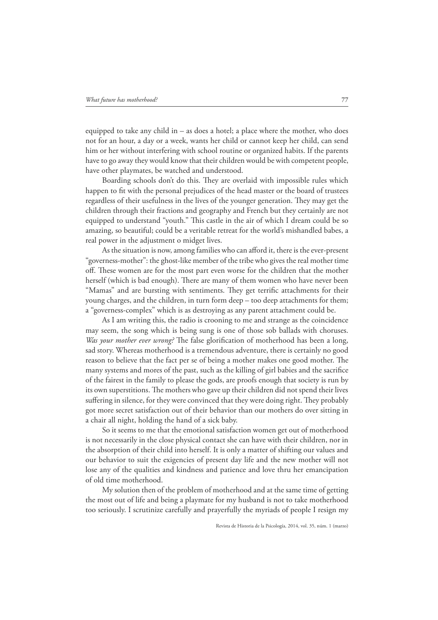equipped to take any child in – as does a hotel; a place where the mother, who does not for an hour, a day or a week, wants her child or cannot keep her child, can send him or her without interfering with school routine or organized habits. If the parents have to go away they would know that their children would be with competent people, have other playmates, be watched and understood.

Boarding schools don't do this. They are overlaid with impossible rules which happen to fit with the personal prejudices of the head master or the board of trustees regardless of their usefulness in the lives of the younger generation. They may get the children through their fractions and geography and French but they certainly are not equipped to understand "youth." This castle in the air of which I dream could be so amazing, so beautiful; could be a veritable retreat for the world's mishandled babes, a real power in the adjustment o midget lives.

As the situation is now, among families who can afford it, there is the ever-present "governess-mother": the ghost-like member of the tribe who gives the real mother time off. These women are for the most part even worse for the children that the mother herself (which is bad enough). There are many of them women who have never been "Mamas" and are bursting with sentiments. They get terrific attachments for their young charges, and the children, in turn form deep – too deep attachments for them; a "governess-complex" which is as destroying as any parent attachment could be.

As I am writing this, the radio is crooning to me and strange as the coincidence may seem, the song which is being sung is one of those sob ballads with choruses. *Was your mother ever wrong?* The false glorification of motherhood has been a long, sad story. Whereas motherhood is a tremendous adventure, there is certainly no good reason to believe that the fact per se of being a mother makes one good mother. The many systems and mores of the past, such as the killing of girl babies and the sacrifice of the fairest in the family to please the gods, are proofs enough that society is run by its own superstitions. The mothers who gave up their children did not spend their lives suffering in silence, for they were convinced that they were doing right. They probably got more secret satisfaction out of their behavior than our mothers do over sitting in a chair all night, holding the hand of a sick baby.

So it seems to me that the emotional satisfaction women get out of motherhood is not necessarily in the close physical contact she can have with their children, nor in the absorption of their child into herself. It is only a matter of shifting our values and our behavior to suit the exigencies of present day life and the new mother will not lose any of the qualities and kindness and patience and love thru her emancipation of old time motherhood.

My solution then of the problem of motherhood and at the same time of getting the most out of life and being a playmate for my husband is not to take motherhood too seriously. I scrutinize carefully and prayerfully the myriads of people I resign my